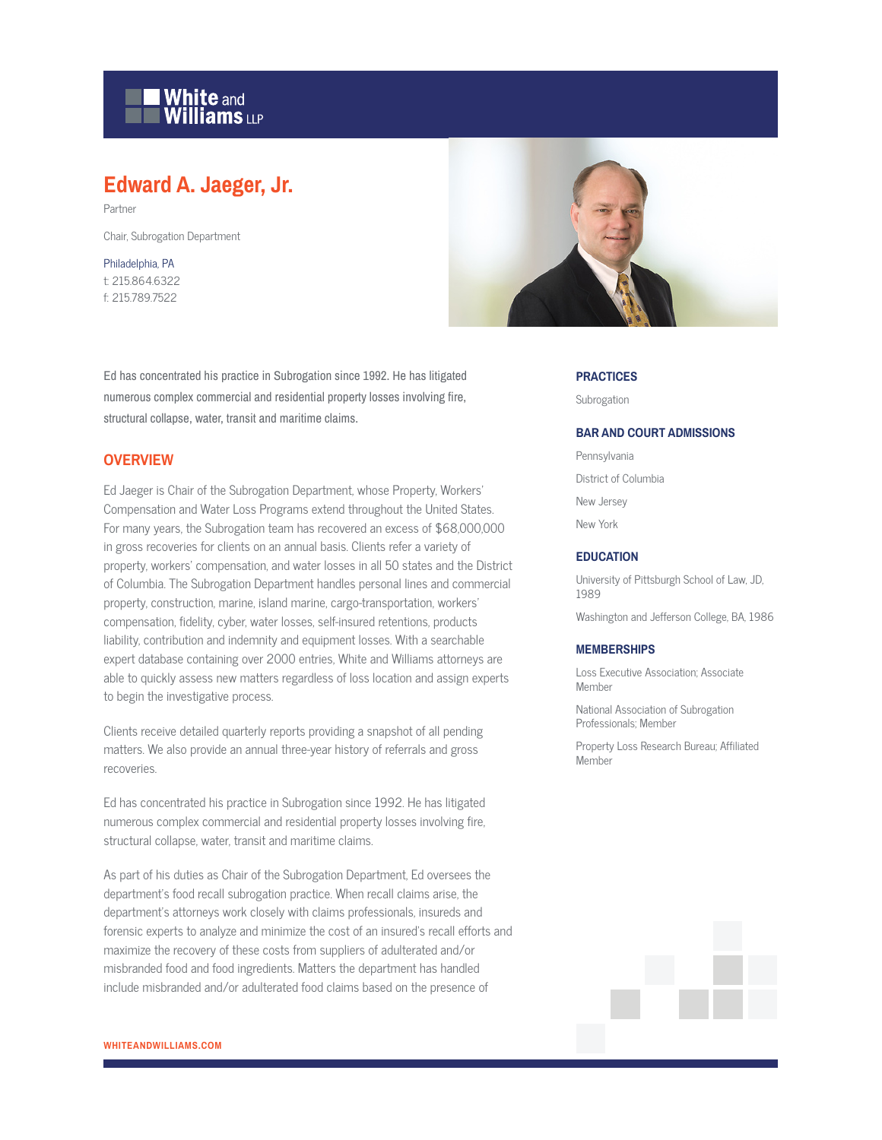# **White and Williams LLP**

# **Edward A. Jaeger, Jr.**

Partner

Chair, Subrogation Department

### Philadelphia, PA t: 215.864.6322 f: 215.789.7522

Ed has concentrated his practice in Subrogation since 1992. He has litigated numerous complex commercial and residential property losses involving fire, structural collapse, water, transit and maritime claims.

# **OVERVIEW**

Ed Jaeger is Chair of the Subrogation Department, whose Property, Workers' Compensation and Water Loss Programs extend throughout the United States. For many years, the Subrogation team has recovered an excess of \$68,000,000 in gross recoveries for clients on an annual basis. Clients refer a variety of property, workers' compensation, and water losses in all 50 states and the District of Columbia. The Subrogation Department handles personal lines and commercial property, construction, marine, island marine, cargo-transportation, workers' compensation, fidelity, cyber, water losses, self-insured retentions, products liability, contribution and indemnity and equipment losses. With a searchable expert database containing over 2000 entries, White and Williams attorneys are able to quickly assess new matters regardless of loss location and assign experts to begin the investigative process.

Clients receive detailed quarterly reports providing a snapshot of all pending matters. We also provide an annual three-year history of referrals and gross recoveries.

Ed has concentrated his practice in Subrogation since 1992. He has litigated numerous complex commercial and residential property losses involving fire, structural collapse, water, transit and maritime claims.

As part of his duties as Chair of the Subrogation Department, Ed oversees the department's food recall subrogation practice. When recall claims arise, the department's attorneys work closely with claims professionals, insureds and forensic experts to analyze and minimize the cost of an insured's recall efforts and maximize the recovery of these costs from suppliers of adulterated and/or misbranded food and food ingredients. Matters the department has handled include misbranded and/or adulterated food claims based on the presence of



#### **PRACTICES**

Subrogation

#### **BAR AND COURT ADMISSIONS**

Pennsylvania District of Columbia New Jersey New York

#### **EDUCATION**

University of Pittsburgh School of Law, JD, 1989

Washington and Jefferson College, BA, 1986

#### **MEMBERSHIPS**

Loss Executive Association; Associate Member

National Association of Subrogation Professionals; Member

Property Loss Research Bureau; Affiliated Member

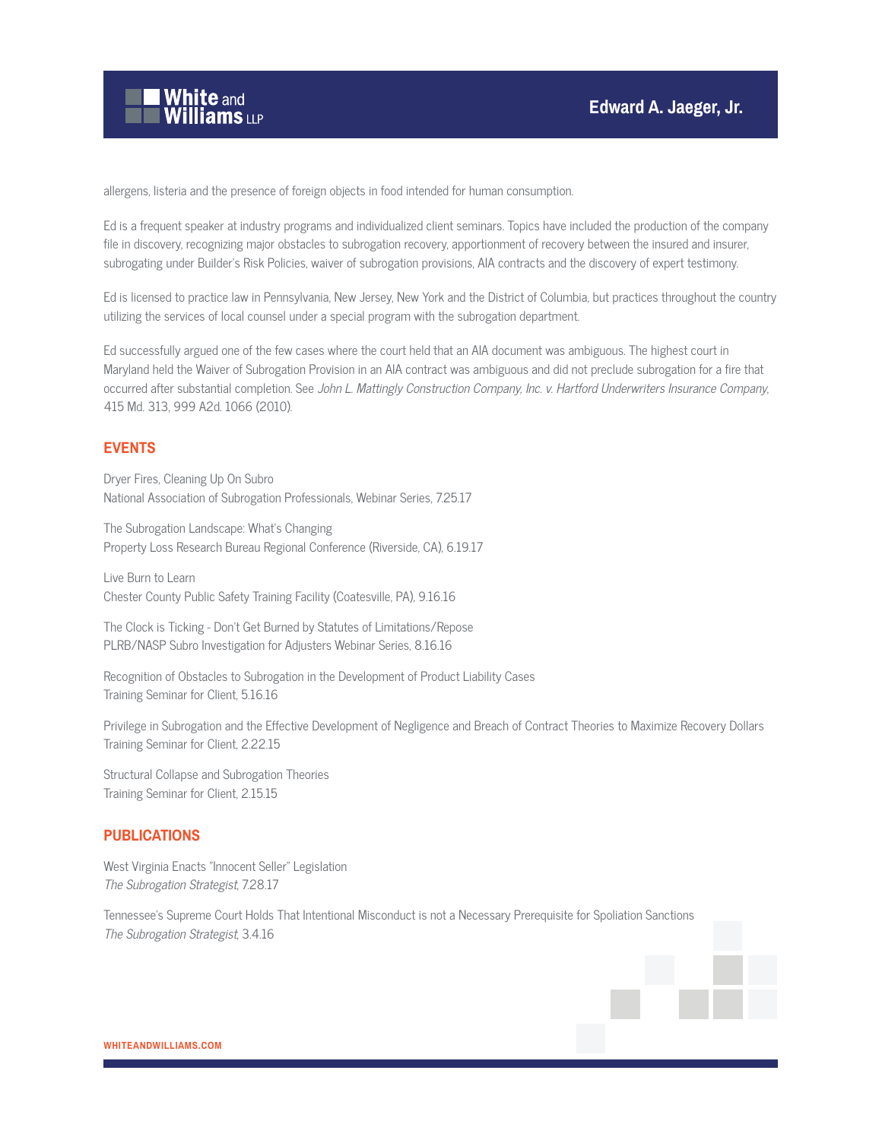

allergens, listeria and the presence of foreign objects in food intended for human consumption.

Ed is a frequent speaker at industry programs and individualized client seminars. Topics have included the production of the company file in discovery, recognizing major obstacles to subrogation recovery, apportionment of recovery between the insured and insurer, subrogating under Builder's Risk Policies, waiver of subrogation provisions, AIA contracts and the discovery of expert testimony.

Ed is licensed to practice law in Pennsylvania, New Jersey, New York and the District of Columbia, but practices throughout the country utilizing the services of local counsel under a special program with the subrogation department.

Ed successfully argued one of the few cases where the court held that an AIA document was ambiguous. The highest court in Maryland held the Waiver of Subrogation Provision in an AIA contract was ambiguous and did not preclude subrogation for a fire that occurred after substantial completion. See John L. Mattingly Construction Company, Inc. v. Hartford Underwriters Insurance Company, 415 Md. 313, 999 A2d. 1066 (2010).

# **EVENTS**

Dryer Fires, Cleaning Up On Subro National Association of Subrogation Professionals, Webinar Series, 7.25.17

The Subrogation Landscape: What's Changing Property Loss Research Bureau Regional Conference (Riverside, CA), 6.19.17

Live Burn to Learn Chester County Public Safety Training Facility (Coatesville, PA), 9.16.16

The Clock is Ticking - Don't Get Burned by Statutes of Limitations/Repose PLRB/NASP Subro Investigation for Adjusters Webinar Series, 8.16.16

Recognition of Obstacles to Subrogation in the Development of Product Liability Cases Training Seminar for Client, 5.16.16

Privilege in Subrogation and the Effective Development of Negligence and Breach of Contract Theories to Maximize Recovery Dollars Training Seminar for Client, 2.22.15

Structural Collapse and Subrogation Theories Training Seminar for Client, 2.15.15

# **PUBLICATIONS**

West Virginia Enacts "Innocent Seller" Legislation The Subrogation Strategist, 7.28.17

Tennessee's Supreme Court Holds That Intentional Misconduct is not a Necessary Prerequisite for Spoliation Sanctions The Subrogation Strategist, 3.4.16